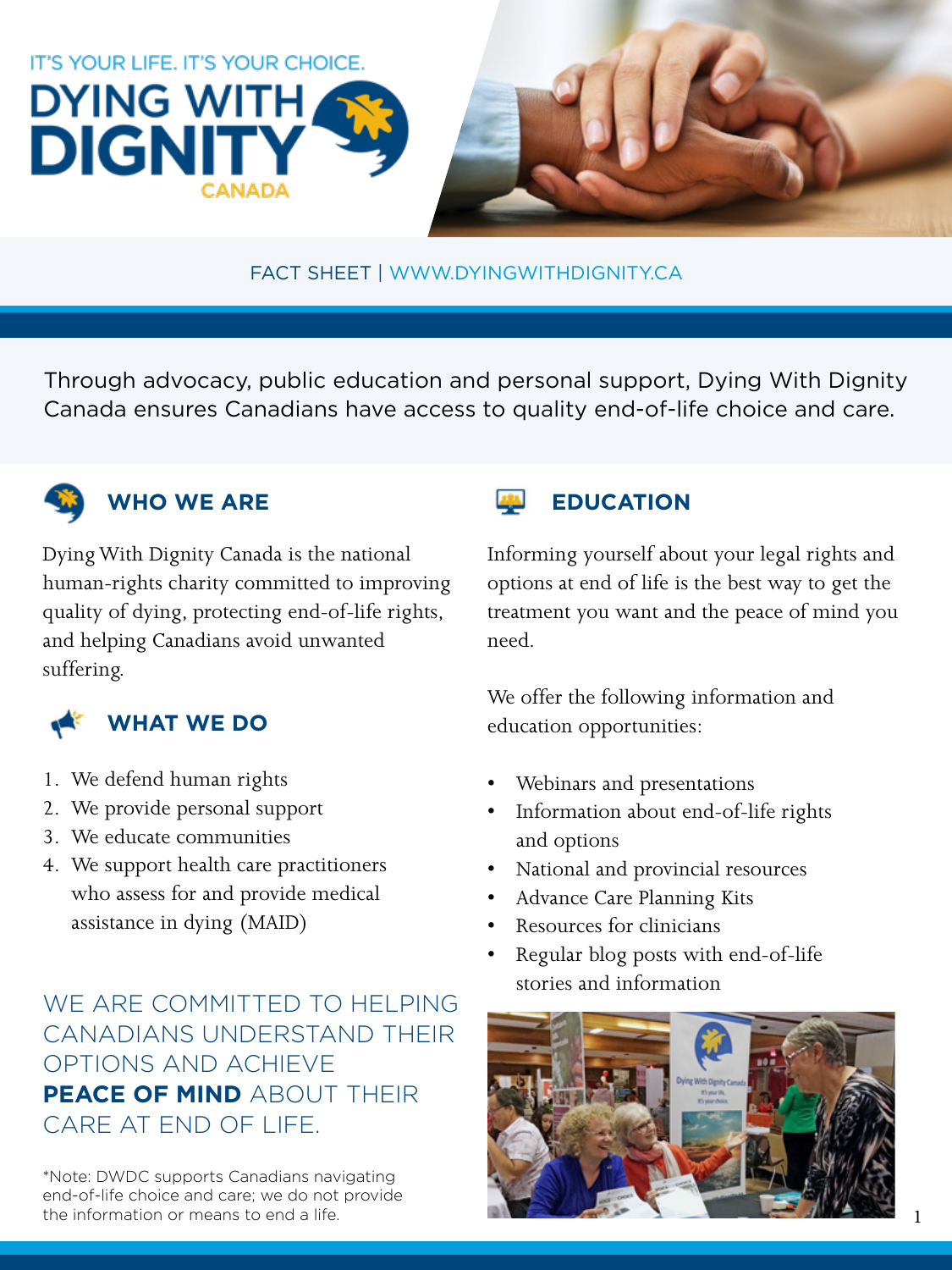

FACT SHEET | WWW.DYINGWITHDIGNITY.CA

Through advocacy, public education and personal support, Dying With Dignity Canada ensures Canadians have access to quality end-of-life choice and care.



## **WHO WE ARE**

Dying With Dignity Canada is the national human-rights charity committed to improving quality of dying, protecting end-of-life rights, and helping Canadians avoid unwanted suffering.



### **WHAT WE DO**

- 1. We defend human rights
- 2. We provide personal support
- 3. We educate communities
- 4. We support health care practitioners who assess for and provide medical assistance in dying (MAID)

WE ARE COMMITTED TO HELPING CANADIANS UNDERSTAND THEIR OPTIONS AND ACHIEVE **PEACE OF MIND** ABOUT THEIR CARE AT END OF LIFE.

\*Note: DWDC supports Canadians navigating end-of-life choice and care; we do not provide the information or means to end a life.



Informing yourself about your legal rights and options at end of life is the best way to get the treatment you want and the peace of mind you need.

We offer the following information and education opportunities:

- Webinars and presentations
- Information about end-of-life rights and options
- National and provincial resources
- Advance Care Planning Kits
- Resources for clinicians
- Regular blog posts with end-of-life stories and information

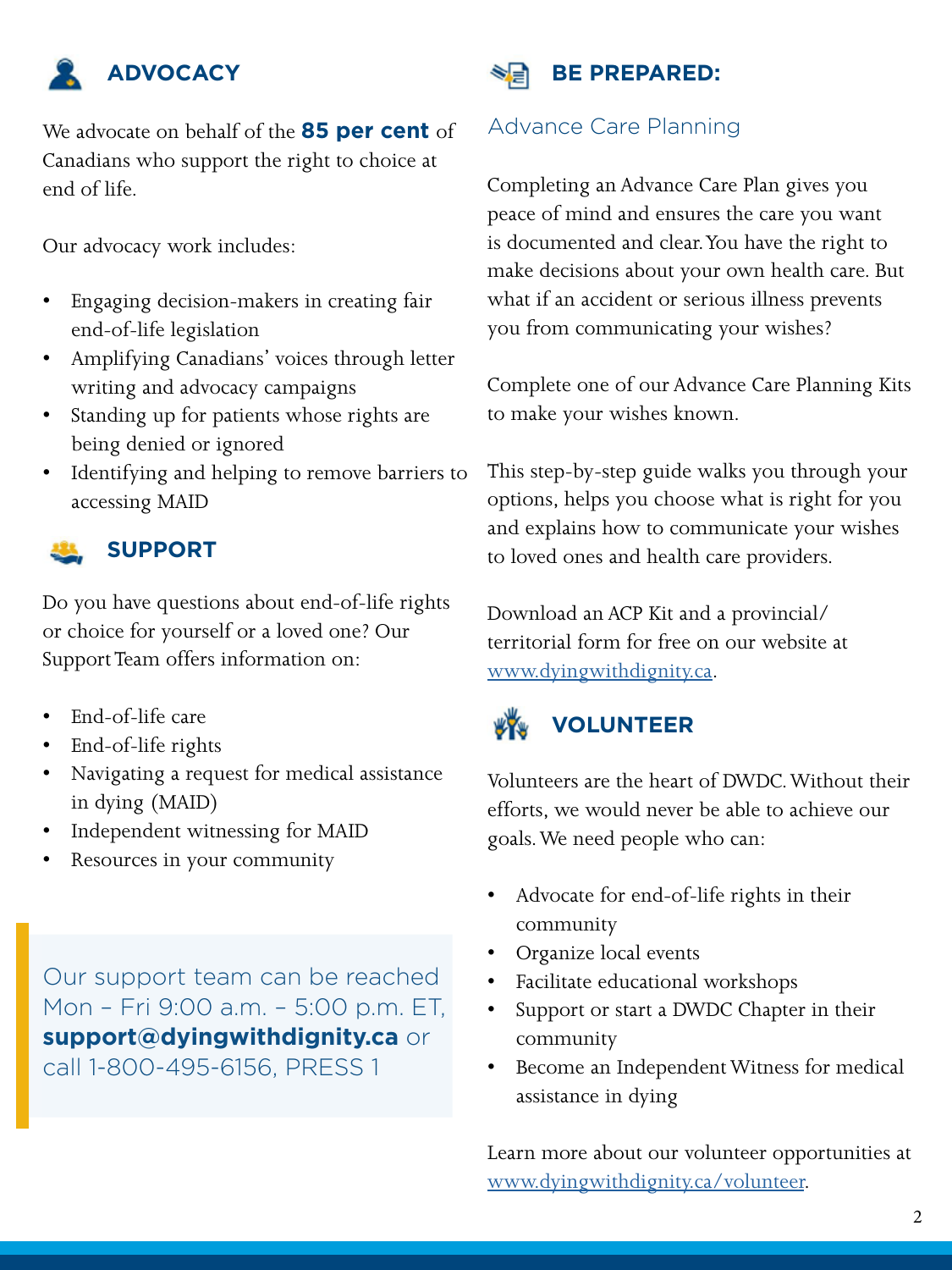

We advocate on behalf of the **85 per cent** of Canadians who support the right to choice at end of life.

Our advocacy work includes:

- Engaging decision-makers in creating fair end-of-life legislation
- Amplifying Canadians' voices through letter writing and advocacy campaigns
- Standing up for patients whose rights are being denied or ignored
- Identifying and helping to remove barriers to accessing MAID

## **SUPPORT**

Do you have questions about end-of-life rights or choice for yourself or a loved one? Our Support Team offers information on:

- End-of-life care
- End-of-life rights
- Navigating a request for medical assistance in dying (MAID)
- Independent witnessing for MAID
- Resources in your community

Our support team can be reached Mon – Fri 9:00 a.m. – 5:00 p.m. ET, **support@dyingwithdignity.ca** or call 1-800-495-6156, PRESS 1



## Advance Care Planning

Completing an Advance Care Plan gives you peace of mind and ensures the care you want is documented and clear. You have the right to make decisions about your own health care. But what if an accident or serious illness prevents you from communicating your wishes?

Complete one of our Advance Care Planning Kits to make your wishes known.

This step-by-step guide walks you through your options, helps you choose what is right for you and explains how to communicate your wishes to loved ones and health care providers.

Download an ACP Kit and a provincial/ territorial form for free on our website at [www.dyingwithdignity.ca](http://www.dyingwithdignity.ca).

# **VOLUNTEER**

Volunteers are the heart of DWDC. Without their efforts, we would never be able to achieve our goals. We need people who can:

- Advocate for end-of-life rights in their community
- Organize local events
- Facilitate educational workshops
- Support or start a DWDC Chapter in their community
- Become an Independent Witness for medical assistance in dying

Learn more about our volunteer opportunities at [www.dyingwithdignity.ca/volunteer.](http://www.dyingwithdignity.ca/volunteer)